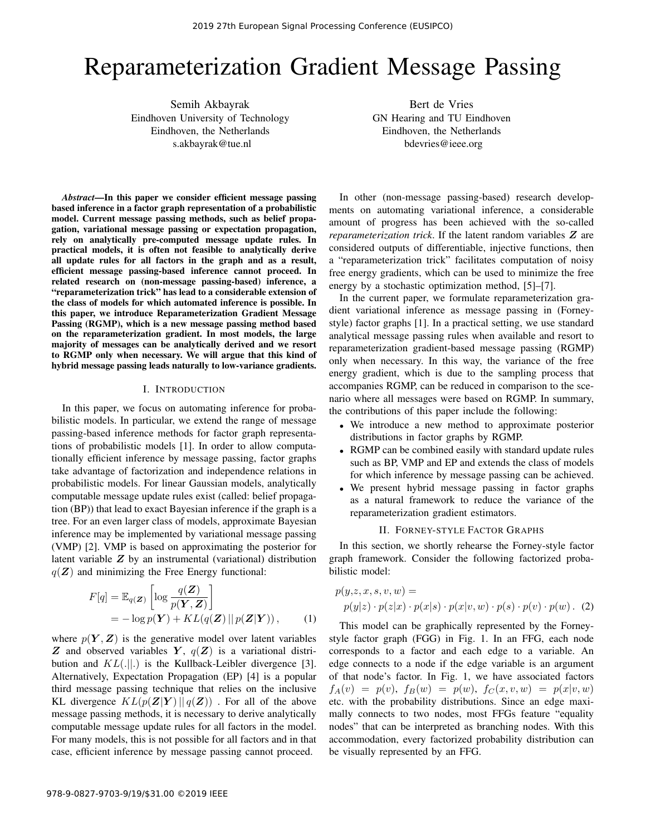# Reparameterization Gradient Message Passing

Semih Akbayrak Eindhoven University of Technology Eindhoven, the Netherlands s.akbayrak@tue.nl

Bert de Vries GN Hearing and TU Eindhoven Eindhoven, the Netherlands bdevries@ieee.org

*Abstract*—In this paper we consider efficient message passing based inference in a factor graph representation of a probabilistic model. Current message passing methods, such as belief propagation, variational message passing or expectation propagation, rely on analytically pre-computed message update rules. In practical models, it is often not feasible to analytically derive all update rules for all factors in the graph and as a result, efficient message passing-based inference cannot proceed. In related research on (non-message passing-based) inference, a "reparameterization trick" has lead to a considerable extension of the class of models for which automated inference is possible. In this paper, we introduce Reparameterization Gradient Message Passing (RGMP), which is a new message passing method based on the reparameterization gradient. In most models, the large majority of messages can be analytically derived and we resort to RGMP only when necessary. We will argue that this kind of hybrid message passing leads naturally to low-variance gradients.

## I. INTRODUCTION

In this paper, we focus on automating inference for probabilistic models. In particular, we extend the range of message passing-based inference methods for factor graph representations of probabilistic models [1]. In order to allow computationally efficient inference by message passing, factor graphs take advantage of factorization and independence relations in probabilistic models. For linear Gaussian models, analytically computable message update rules exist (called: belief propagation (BP)) that lead to exact Bayesian inference if the graph is a tree. For an even larger class of models, approximate Bayesian inference may be implemented by variational message passing (VMP) [2]. VMP is based on approximating the posterior for latent variable Z by an instrumental (variational) distribution  $q(\mathbf{Z})$  and minimizing the Free Energy functional:

$$
F[q] = \mathbb{E}_{q(\mathbf{Z})} \left[ \log \frac{q(\mathbf{Z})}{p(\mathbf{Y}, \mathbf{Z})} \right]
$$
  
=  $-\log p(\mathbf{Y}) + KL(q(\mathbf{Z}) || p(\mathbf{Z} | \mathbf{Y})),$  (1)

where  $p(Y, Z)$  is the generative model over latent variables Z and observed variables Y,  $q(Z)$  is a variational distribution and  $KL(.||.)$  is the Kullback-Leibler divergence [3]. Alternatively, Expectation Propagation (EP) [4] is a popular third message passing technique that relies on the inclusive KL divergence  $KL(p(\mathbf{Z}|\mathbf{Y})||q(\mathbf{Z}))$ . For all of the above message passing methods, it is necessary to derive analytically computable message update rules for all factors in the model. For many models, this is not possible for all factors and in that case, efficient inference by message passing cannot proceed.

In other (non-message passing-based) research developments on automating variational inference, a considerable amount of progress has been achieved with the so-called *reparameterization trick*. If the latent random variables Z are considered outputs of differentiable, injective functions, then a "reparameterization trick" facilitates computation of noisy free energy gradients, which can be used to minimize the free energy by a stochastic optimization method, [5]–[7].

In the current paper, we formulate reparameterization gradient variational inference as message passing in (Forneystyle) factor graphs [1]. In a practical setting, we use standard analytical message passing rules when available and resort to reparameterization gradient-based message passing (RGMP) only when necessary. In this way, the variance of the free energy gradient, which is due to the sampling process that accompanies RGMP, can be reduced in comparison to the scenario where all messages were based on RGMP. In summary, the contributions of this paper include the following:

- We introduce a new method to approximate posterior distributions in factor graphs by RGMP.
- RGMP can be combined easily with standard update rules such as BP, VMP and EP and extends the class of models for which inference by message passing can be achieved.
- We present hybrid message passing in factor graphs as a natural framework to reduce the variance of the reparameterization gradient estimators.

#### II. FORNEY-STYLE FACTOR GRAPHS

In this section, we shortly rehearse the Forney-style factor graph framework. Consider the following factorized probabilistic model:

$$
p(y,z,x,s,v,w) =
$$
  
 
$$
p(y|z) \cdot p(z|x) \cdot p(x|s) \cdot p(x|v,w) \cdot p(s) \cdot p(v) \cdot p(w) . (2)
$$

This model can be graphically represented by the Forneystyle factor graph (FGG) in Fig. 1. In an FFG, each node corresponds to a factor and each edge to a variable. An edge connects to a node if the edge variable is an argument of that node's factor. In Fig. 1, we have associated factors  $f_A(v) = p(v), f_B(w) = p(w), f_C(x, v, w) = p(x|v, w)$ etc. with the probability distributions. Since an edge maximally connects to two nodes, most FFGs feature "equality nodes" that can be interpreted as branching nodes. With this accommodation, every factorized probability distribution can be visually represented by an FFG.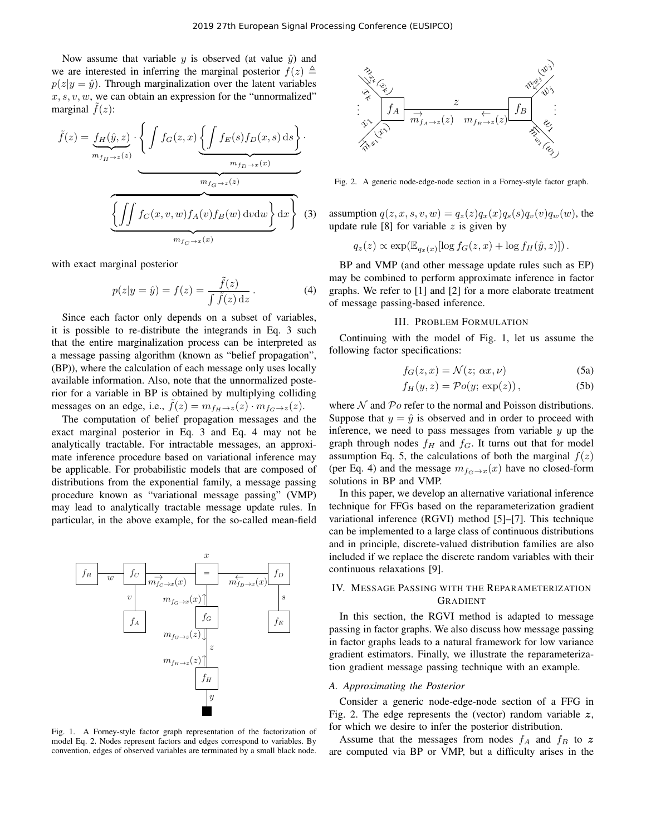Now assume that variable y is observed (at value  $\hat{y}$ ) and we are interested in inferring the marginal posterior  $f(z) \triangleq$  $p(z|y = \hat{y})$ . Through marginalization over the latent variables  $x, s, v, w$ , we can obtain an expression for the "unnormalized" marginal  $\tilde{f}(z)$ :

$$
\tilde{f}(z) = \underbrace{f_H(\hat{y}, z)}_{m_{f_H \to z}(z)} \cdot \left\{ \int f_G(z, x) \underbrace{\left\{ \int f_E(s) f_D(x, s) \, ds \right\}}_{m_{f_G \to z}(z)} \cdot \underbrace{m_{f_G \to z}(x)}_{m_{f_G \to z}(z)} \right\}.
$$
\n(3)

with exact marginal posterior

$$
p(z|y = \hat{y}) = f(z) = \frac{\tilde{f}(z)}{\int \tilde{f}(z) dz}.
$$
 (4)

Since each factor only depends on a subset of variables, it is possible to re-distribute the integrands in Eq. 3 such that the entire marginalization process can be interpreted as a message passing algorithm (known as "belief propagation", (BP)), where the calculation of each message only uses locally available information. Also, note that the unnormalized posterior for a variable in BP is obtained by multiplying colliding messages on an edge, i.e.,  $\tilde{f}(z) = m_{f_H \to z}(z) \cdot m_{f_G \to z}(z)$ .

The computation of belief propagation messages and the exact marginal posterior in Eq. 3 and Eq. 4 may not be analytically tractable. For intractable messages, an approximate inference procedure based on variational inference may be applicable. For probabilistic models that are composed of distributions from the exponential family, a message passing procedure known as "variational message passing" (VMP) may lead to analytically tractable message update rules. In particular, in the above example, for the so-called mean-field



Fig. 1. A Forney-style factor graph representation of the factorization of model Eq. 2. Nodes represent factors and edges correspond to variables. By convention, edges of observed variables are terminated by a small black node.



Fig. 2. A generic node-edge-node section in a Forney-style factor graph.

assumption  $q(z, x, s, v, w) = q_z(z)q_x(x)q_s(s)q_v(v)q_w(w)$ , the update rule  $[8]$  for variable z is given by

$$
q_z(z) \propto \exp(\mathbb{E}_{q_x(x)}[\log f_G(z, x) + \log f_H(\hat{y}, z)]).
$$

BP and VMP (and other message update rules such as EP) may be combined to perform approximate inference in factor graphs. We refer to [1] and [2] for a more elaborate treatment of message passing-based inference.

#### III. PROBLEM FORMULATION

Continuing with the model of Fig. 1, let us assume the following factor specifications:

$$
f_G(z, x) = \mathcal{N}(z; \, \alpha x, \nu) \tag{5a}
$$

$$
f_H(y, z) = \mathcal{P}o(y; \exp(z)), \tag{5b}
$$

where  $N$  and  $Po$  refer to the normal and Poisson distributions. Suppose that  $y = \hat{y}$  is observed and in order to proceed with inference, we need to pass messages from variable  $y$  up the graph through nodes  $f_H$  and  $f_G$ . It turns out that for model assumption Eq. 5, the calculations of both the marginal  $f(z)$ (per Eq. 4) and the message  $m_{f<sub>G</sub>\to x}(x)$  have no closed-form solutions in BP and VMP.

In this paper, we develop an alternative variational inference technique for FFGs based on the reparameterization gradient variational inference (RGVI) method [5]–[7]. This technique can be implemented to a large class of continuous distributions and in principle, discrete-valued distribution families are also included if we replace the discrete random variables with their continuous relaxations [9].

## IV. MESSAGE PASSING WITH THE REPARAMETERIZATION GRADIENT

In this section, the RGVI method is adapted to message passing in factor graphs. We also discuss how message passing in factor graphs leads to a natural framework for low variance gradient estimators. Finally, we illustrate the reparameterization gradient message passing technique with an example.

#### *A. Approximating the Posterior*

Consider a generic node-edge-node section of a FFG in Fig. 2. The edge represents the (vector) random variable  $z$ , for which we desire to infer the posterior distribution.

Assume that the messages from nodes  $f_A$  and  $f_B$  to z are computed via BP or VMP, but a difficulty arises in the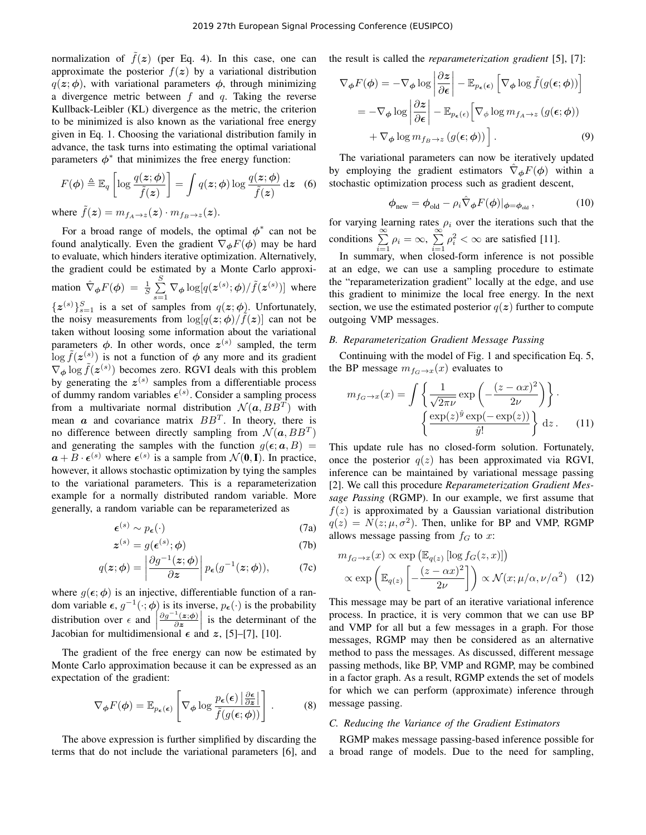normalization of  $\tilde{f}(z)$  (per Eq. 4). In this case, one can approximate the posterior  $f(z)$  by a variational distribution  $q(z; \phi)$ , with variational parameters  $\phi$ , through minimizing a divergence metric between  $f$  and  $q$ . Taking the reverse Kullback-Leibler (KL) divergence as the metric, the criterion to be minimized is also known as the variational free energy given in Eq. 1. Choosing the variational distribution family in advance, the task turns into estimating the optimal variational parameters  $\phi^*$  that minimizes the free energy function:

$$
F(\phi) \triangleq \mathbb{E}_q \left[ \log \frac{q(z; \phi)}{\tilde{f}(z)} \right] = \int q(z; \phi) \log \frac{q(z; \phi)}{\tilde{f}(z)} dz
$$
 (6)

where  $\tilde{f}(z) = m_{f_A \to z}(z) \cdot m_{f_B \to z}(z)$ .

For a broad range of models, the optimal  $\phi^*$  can not be found analytically. Even the gradient  $\nabla_{\phi} F(\phi)$  may be hard to evaluate, which hinders iterative optimization. Alternatively, the gradient could be estimated by a Monte Carlo approximation  $\hat{\nabla}_{\phi} F(\phi) = \frac{1}{S} \sum_{i=1}^{S}$  $\sum_{s=1}^{8} \nabla_{\boldsymbol{\phi}} \log[q(\boldsymbol{z}^{(s)}; \boldsymbol{\phi}) / \tilde{f}(\boldsymbol{z}^{(s)})]$  where  $\{z^{(s)}\}_{s=1}^S$  is a set of samples from  $q(z; \phi)$ . Unfortunately, the noisy measurements from  $\log[q(z;\phi)/\tilde{f}(z)]$  can not be taken without loosing some information about the variational parameters  $\phi$ . In other words, once  $z^{(s)}$  sampled, the term  $\log \tilde{f}(z^{(s)})$  is not a function of  $\phi$  any more and its gradient  $\nabla_{\phi} \log \tilde{f}(\mathbf{z}^{(s)})$  becomes zero. RGVI deals with this problem by generating the  $z^{(s)}$  samples from a differentiable process of dummy random variables  $\epsilon^{(s)}$ . Consider a sampling process from a multivariate normal distribution  $\mathcal{N}(\boldsymbol{a},BB^T)$  with mean  $\boldsymbol{a}$  and covariance matrix  $BB^T$ . In theory, there is no difference between directly sampling from  $\mathcal{N}(\boldsymbol{a},BB^T)$ and generating the samples with the function  $g(\epsilon; a, B)$  =  $a + B \cdot \epsilon^{(s)}$  where  $\epsilon^{(s)}$  is a sample from  $\mathcal{N}(\mathbf{0}, \mathbf{I})$ . In practice, however, it allows stochastic optimization by tying the samples to the variational parameters. This is a reparameterization example for a normally distributed random variable. More generally, a random variable can be reparameterized as

$$
\boldsymbol{\epsilon}^{(s)} \sim p_{\boldsymbol{\epsilon}}(\cdot) \tag{7a}
$$

$$
z^{(s)} = g(\epsilon^{(s)}; \phi) \tag{7b}
$$

$$
q(\mathbf{z};\boldsymbol{\phi}) = \left| \frac{\partial g^{-1}(\mathbf{z};\boldsymbol{\phi})}{\partial \mathbf{z}} \right| p_{\boldsymbol{\epsilon}}(g^{-1}(\mathbf{z};\boldsymbol{\phi})),\tag{7c}
$$

where  $g(\epsilon; \phi)$  is an injective, differentiable function of a random variable  $\epsilon$ ,  $g^{-1}(\cdot; \phi)$  is its inverse,  $p_{\epsilon}(\cdot)$  is the probability distribution over  $\epsilon$  and  $\begin{bmatrix} \text{Reskin} \\ \text{Resin} \end{bmatrix}$  $\partial g^{-1}(\bm{z};\bm{\phi})$  $\frac{d^2(z;\phi)}{\partial z}$  is the determinant of the Jacobian for multidimensional  $\epsilon$  and  $z$ , [5]–[7], [10].

The gradient of the free energy can now be estimated by Monte Carlo approximation because it can be expressed as an expectation of the gradient:

$$
\nabla_{\boldsymbol{\phi}} F(\boldsymbol{\phi}) = \mathbb{E}_{p_{\boldsymbol{\epsilon}}(\boldsymbol{\epsilon})} \left[ \nabla_{\boldsymbol{\phi}} \log \frac{p_{\boldsymbol{\epsilon}}(\boldsymbol{\epsilon}) \left| \frac{\partial \boldsymbol{\epsilon}}{\partial \boldsymbol{z}} \right|}{\tilde{f}(g(\boldsymbol{\epsilon}; \boldsymbol{\phi}))} \right]. \tag{8}
$$

The above expression is further simplified by discarding the terms that do not include the variational parameters [6], and the result is called the *reparameterization gradient* [5], [7]:

$$
\nabla_{\phi} F(\phi) = -\nabla_{\phi} \log \left| \frac{\partial z}{\partial \epsilon} \right| - \mathbb{E}_{p_{\epsilon}(\epsilon)} \left[ \nabla_{\phi} \log \tilde{f}(g(\epsilon; \phi)) \right]
$$
  
=  $-\nabla_{\phi} \log \left| \frac{\partial z}{\partial \epsilon} \right| - \mathbb{E}_{p_{\epsilon}(\epsilon)} \left[ \nabla_{\phi} \log m_{f_A \to z} (g(\epsilon; \phi)) \right]$   
+  $\nabla_{\phi} \log m_{f_B \to z} (g(\epsilon; \phi)) \right].$  (9)

The variational parameters can now be iteratively updated by employing the gradient estimators  $\nabla_{\phi}F(\phi)$  within a stochastic optimization process such as gradient descent,

$$
\phi_{\text{new}} = \phi_{\text{old}} - \rho_i \hat{\nabla}_{\phi} F(\phi)|_{\phi = \phi_{\text{old}}},\tag{10}
$$

for varying learning rates  $\rho_i$  over the iterations such that the conditions  $\sum_{i=1}^{\infty} \rho_i = \infty$ ,  $\sum_{i=1}^{\infty}$  $i=1$  $\rho_i^2 < \infty$  are satisfied [11].

In summary, when closed-form inference is not possible at an edge, we can use a sampling procedure to estimate the "reparameterization gradient" locally at the edge, and use this gradient to minimize the local free energy. In the next section, we use the estimated posterior  $q(z)$  further to compute outgoing VMP messages.

### *B. Reparameterization Gradient Message Passing*

Continuing with the model of Fig. 1 and specification Eq. 5, the BP message  $m_{f<sub>G</sub>\to x}(x)$  evaluates to

$$
m_{f_G \to x}(x) = \int \left\{ \frac{1}{\sqrt{2\pi\nu}} \exp\left(-\frac{(z - \alpha x)^2}{2\nu}\right) \right\} \cdot \left\{ \frac{\exp(z)^{\hat{y}} \exp(-\exp(z))}{\hat{y}!} \right\} dz.
$$
 (11)

This update rule has no closed-form solution. Fortunately, once the posterior  $q(z)$  has been approximated via RGVI, inference can be maintained by variational message passing [2]. We call this procedure *Reparameterization Gradient Message Passing* (RGMP). In our example, we first assume that  $f(z)$  is approximated by a Gaussian variational distribution  $q(z) = N(z; \mu, \sigma^2)$ . Then, unlike for BP and VMP, RGMP allows message passing from  $f<sub>G</sub>$  to x:

$$
m_{f_G \to x}(x) \propto \exp\left(\mathbb{E}_{q(z)}\left[\log f_G(z, x)\right]\right)
$$

$$
\propto \exp\left(\mathbb{E}_{q(z)}\left[-\frac{(z - \alpha x)^2}{2\nu}\right]\right) \propto \mathcal{N}(x; \mu/\alpha, \nu/\alpha^2) \quad (12)
$$

This message may be part of an iterative variational inference process. In practice, it is very common that we can use BP and VMP for all but a few messages in a graph. For those messages, RGMP may then be considered as an alternative method to pass the messages. As discussed, different message passing methods, like BP, VMP and RGMP, may be combined in a factor graph. As a result, RGMP extends the set of models for which we can perform (approximate) inference through message passing.

# *C. Reducing the Variance of the Gradient Estimators*

RGMP makes message passing-based inference possible for a broad range of models. Due to the need for sampling,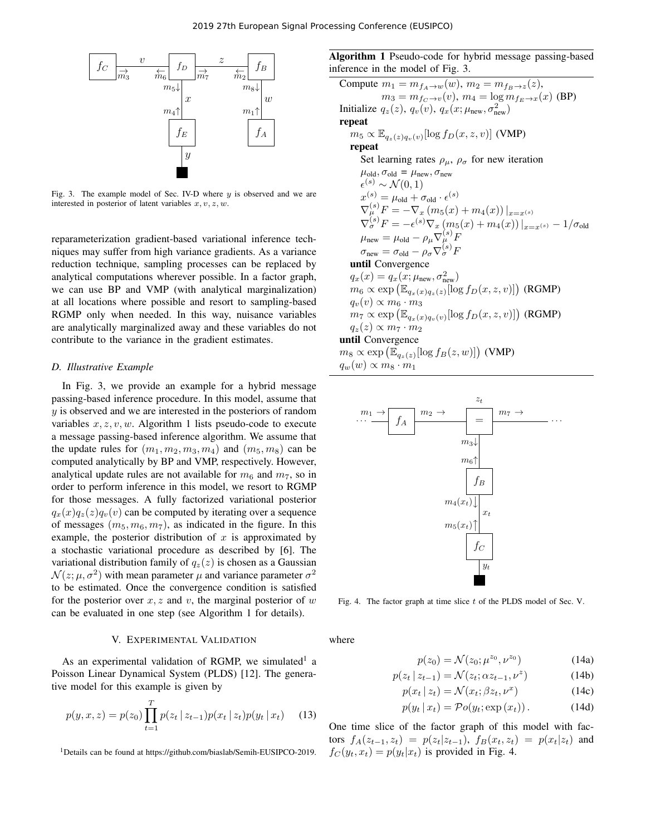

Fig. 3. The example model of Sec. IV-D where  $y$  is observed and we are interested in posterior of latent variables  $x, v, z, w$ .

reparameterization gradient-based variational inference techniques may suffer from high variance gradients. As a variance reduction technique, sampling processes can be replaced by analytical computations wherever possible. In a factor graph, we can use BP and VMP (with analytical marginalization) at all locations where possible and resort to sampling-based RGMP only when needed. In this way, nuisance variables are analytically marginalized away and these variables do not contribute to the variance in the gradient estimates.

## *D. Illustrative Example*

In Fig. 3, we provide an example for a hybrid message passing-based inference procedure. In this model, assume that  $y$  is observed and we are interested in the posteriors of random variables  $x, z, v, w$ . Algorithm 1 lists pseudo-code to execute a message passing-based inference algorithm. We assume that the update rules for  $(m_1, m_2, m_3, m_4)$  and  $(m_5, m_8)$  can be computed analytically by BP and VMP, respectively. However, analytical update rules are not available for  $m_6$  and  $m_7$ , so in order to perform inference in this model, we resort to RGMP for those messages. A fully factorized variational posterior  $q_x(x)q_z(z)q_y(v)$  can be computed by iterating over a sequence of messages  $(m_5, m_6, m_7)$ , as indicated in the figure. In this example, the posterior distribution of  $x$  is approximated by a stochastic variational procedure as described by [6]. The variational distribution family of  $q_z(z)$  is chosen as a Gaussian  $\mathcal{N}(z; \mu, \sigma^2)$  with mean parameter  $\mu$  and variance parameter  $\sigma^2$ to be estimated. Once the convergence condition is satisfied for the posterior over  $x, z$  and v, the marginal posterior of w can be evaluated in one step (see Algorithm 1 for details).

#### V. EXPERIMENTAL VALIDATION

As an experimental validation of RGMP, we simulated<sup>1</sup> a Poisson Linear Dynamical System (PLDS) [12]. The generative model for this example is given by

$$
p(y, x, z) = p(z_0) \prod_{t=1}^{T} p(z_t | z_{t-1}) p(x_t | z_t) p(y_t | x_t)
$$
 (13)

<sup>1</sup>Details can be found at https://github.com/biaslab/Semih-EUSIPCO-2019.

Algorithm 1 Pseudo-code for hybrid message passing-based inference in the model of Fig. 3.

Compute 
$$
m_1 = m_{f_A \to w}(w)
$$
,  $m_2 = m_{f_B \to z}(z)$ ,  
\n $m_3 = m_{f_C \to v}(v)$ ,  $m_4 = \log m_{f_E \to x}(x)$  (BP)  
\nInitialize  $q_z(z)$ ,  $q_v(v)$ ,  $q_x(x; \mu_{new}, \sigma_{new}^2)$   
\nrepeat  
\n $m_5 \propto \mathbb{E}_{q_z(z)q_v(v)}[\log f_D(x, z, v)]$  (VMP)  
\nrepeat  
\nSet learning rates  $\rho_\mu$ ,  $\rho_\sigma$  for new iteration  
\n $\mu_{old}, \sigma_{old} = \mu_{new}, \sigma_{new}$   
\n $\epsilon^{(s)} \sim \mathcal{N}(0, 1)$   
\n $x^{(s)} = \mu_{old} + \sigma_{old} \cdot \epsilon^{(s)}$   
\n $\nabla_{\mu}^{(s)} F = -\nabla_x (m_5(x) + m_4(x))|_{x=x^{(s)}}$   
\n $\nabla_{\sigma}^{(s)} F = -\epsilon^{(s)} \nabla_x (m_5(x) + m_4(x))|_{x=x^{(s)}} - 1/\sigma_{old}$   
\n $\mu_{new} = \mu_{old} - \rho_\mu \nabla_{\mu}^{(s)} F$   
\nuntil Convergence  
\n $q_x(x) = q_x(x; \mu_{new}, \sigma_{new}^2)$   
\n $m_6 \propto \exp (\mathbb{E}_{q_x(x)q_z(z)}[\log f_D(x, z, v)])$  (RGMP)  
\n $q_v(v) \propto m_6 \cdot m_3$   
\n $m_7 \propto \exp (\mathbb{E}_{q_x(z)q_v(v)}[\log f_D(x, z, v)])$  (RGMP)  
\n $q_z(z) \propto m_7 \cdot m_2$   
\nuntil Convergence  
\n $m_8 \propto \exp (\mathbb{E}_{q_z(z)}[\log f_B(z, w)])$  (VMP)  
\n $q_w(w) \propto m_8 \cdot m_1$ 



Fig. 4. The factor graph at time slice  $t$  of the PLDS model of Sec. V.

where

$$
p(z_0) = \mathcal{N}(z_0; \mu^{z_0}, \nu^{z_0})
$$
 (14a)

$$
p(z_t \mid z_{t-1}) = \mathcal{N}(z_t; \alpha z_{t-1}, \nu^z) \tag{14b}
$$

$$
p(x_t | z_t) = \mathcal{N}(x_t; \beta z_t, \nu^x)
$$
 (14c)

$$
p(y_t | x_t) = Po(y_t; \exp(x_t)). \qquad (14d)
$$

One time slice of the factor graph of this model with factors  $f_A(z_{t-1}, z_t) = p(z_t|z_{t-1}), f_B(x_t, z_t) = p(x_t|z_t)$  and  $f_C(y_t, x_t) = p(y_t|x_t)$  is provided in Fig. 4.